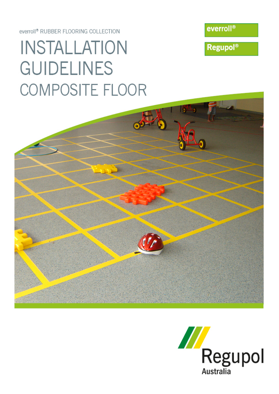# INSTALLATION **GUIDELINES** COMPOSITE FLOOR

everroll<sup>®</sup> RUBBER FLOORING COLLECTION

everroll®

**Regupol®** 

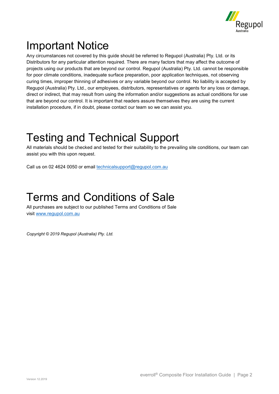

## <span id="page-1-0"></span>Important Notice

Any circumstances not covered by this guide should be referred to Regupol (Australia) Pty. Ltd. or its Distributors for any particular attention required. There are many factors that may affect the outcome of projects using our products that are beyond our control. Regupol (Australia) Pty. Ltd. cannot be responsible for poor climate conditions, inadequate surface preparation, poor application techniques, not observing curing times, improper thinning of adhesives or any variable beyond our control. No liability is accepted by Regupol (Australia) Pty. Ltd., our employees, distributors, representatives or agents for any loss or damage, direct or indirect, that may result from using the information and/or suggestions as actual conditions for use that are beyond our control. It is important that readers assure themselves they are using the current installation procedure, if in doubt, please contact our team so we can assist you.

## <span id="page-1-1"></span>Testing and Technical Support

All materials should be checked and tested for their suitability to the prevailing site conditions, our team can assist you with this upon request.

Call us on 02 4624 0050 or email [technicalsupport@regupol.com.au](mailto:technicalsupport@regupol.com.au)

## <span id="page-1-2"></span>Terms and Conditions of Sale

All purchases are subject to our published Terms and Conditions of Sale visit [www.regupol.com.au](file://SRV02/Company/14.0%20MARKETING%20-%20ONLY%20ACCESS/35.0%20ARTWORK/1.0%20Rubber%20Flooring/Installation%20Guides/www.regupol.com.au)

*Copyright © 2019 Regupol (Australia) Pty. Ltd.*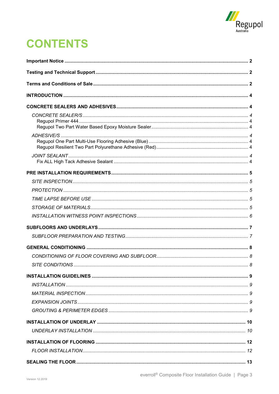

## **CONTENTS**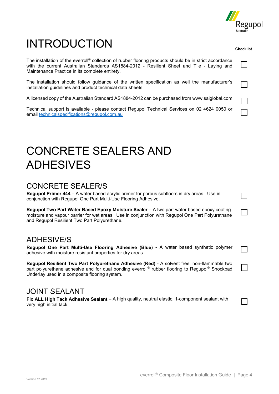

## <span id="page-3-0"></span>INTRODUCTION

The installation of the everroll® collection of rubber flooring products should be in strict accordance with the current Australian Standards AS1884-2012 - Resilient Sheet and Tile - Laying and Maintenance Practice in its complete entirety.

The installation should follow guidance of the written specification as well the manufacturer's installation guidelines and product technical data sheets.

A licensed copy of the Australian Standard AS1884-2012 can be purchased from www.saiglobal.com

Technical support is available - please contact Regupol Technical Services on 02 4624 0050 or email [technicalspecifications@regupol.com.au](mailto:technicalspecifications@regupol.com.au)

## <span id="page-3-1"></span>CONCRETE SEALERS AND ADHESIVES

## <span id="page-3-2"></span>CONCRETE SEALER/S

<span id="page-3-3"></span>**Regupol Primer 444** – A water based acrylic primer for porous subfloors in dry areas. Use in conjunction with Regupol One Part Multi-Use Flooring Adhesive.

<span id="page-3-4"></span>**Regupol Two Part Water Based Epoxy Moisture Sealer** – A two part water based epoxy coating moisture and vapour barrier for wet areas. Use in conjunction with Regupol One Part Polyurethane and Regupol Resilient Two Part Polyurethane.

## <span id="page-3-5"></span>ADHESIVE/S

<span id="page-3-6"></span>**Regupol One Part Multi-Use Flooring Adhesive (Blue)** - A water based synthetic polymer adhesive with moisture resistant properties for dry areas.

<span id="page-3-7"></span>**Regupol Resilient Two Part Polyurethane Adhesive (Red)** - A solvent free, non-flammable two part polyurethane adhesive and for dual bonding everroll<sup>®</sup> rubber flooring to Regupol<sup>®</sup> Shockpad Underlay used in a composite flooring system.

### <span id="page-3-8"></span>JOINT SEALANT

<span id="page-3-9"></span>**Fix ALL High Tack Adhesive Sealant** – A high quality, neutral elastic, 1-component sealant with very high initial tack.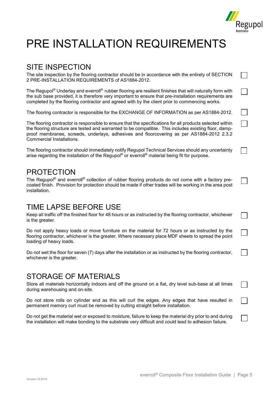

 $\Box$ 

## <span id="page-4-0"></span>PRE INSTALLATION REQUIREMENTS

### <span id="page-4-1"></span>SITE INSPECTION

The site inspection by the flooring contractor should be in accordance with the entirety of SECTION 2 PRE-INSTALLATION REQUIREMENTS of AS1884-2012.

The Regupol<sup>®</sup> Underlay and everroll<sup>®</sup> rubber flooring are resilient finishes that will naturally form with the sub base provided, it is therefore very important to ensure that pre-installation requirements are completed by the flooring contractor and agreed with by the client prior to commencing works.

The flooring contractor is responsible for the EXCHANGE OF INFORMATION as per AS1884-2012.

The flooring contractor is responsible to ensure that the specifications for all products selected within the flooring structure are tested and warranted to be compatible. This includes existing floor, dampproof membranes, screeds, underlays, adhesives and floorcovering as per AS1884-2012 2.3.2 Commercial Installations.

The flooring contractor should immediately notify Regupol Technical Services should any uncertainty arise regarding the installation of the Regupol<sup>®</sup> or everroll<sup>®</sup> material being fit for purpose.

### <span id="page-4-2"></span>PROTECTION

The Regupol<sup>®</sup> and everroll<sup>®</sup> collection of rubber flooring products do not come with a factory precoated finish. Provision for protection should be made if other trades will be working in the area post installation.

## <span id="page-4-3"></span>TIME LAPSE BEFORE USE

Keep all traffic off the finished floor for 48 hours or as instructed by the flooring contractor, whichever is the greater.

Do not apply heavy loads or move furniture on the material for 72 hours or as instructed by the flooring contractor, whichever is the greater. Where necessary place MDF sheets to spread the point loading of heavy loads.

Do not wet the floor for seven (7) days after the installation or as instructed by the flooring contractor, whichever is the greater.

### <span id="page-4-4"></span>STORAGE OF MATERIALS

Store all materials horizontally indoors and off the ground on a flat, dry level sub-base at all times during warehousing and on-site.

Do not store rolls on cylinder end as this will curl the edges. Any edges that have resulted in permanent memory curl must be removed by cutting straight before installation.

Do not get the material wet or exposed to moisture, failure to keep the material dry prior to and during the installation will make bonding to the substrate very difficult and could lead to adhesion failure.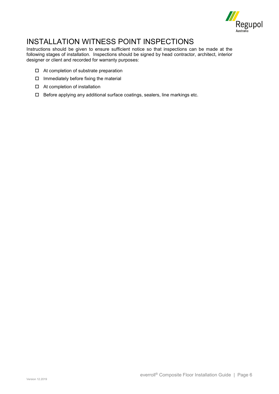

## <span id="page-5-0"></span>INSTALLATION WITNESS POINT INSPECTIONS

Instructions should be given to ensure sufficient notice so that inspections can be made at the following stages of installation. Inspections should be signed by head contractor, architect, interior designer or client and recorded for warranty purposes:

- □ At completion of substrate preparation
- $\square$  Immediately before fixing the material
- □ At completion of installation
- $\Box$  Before applying any additional surface coatings, sealers, line markings etc.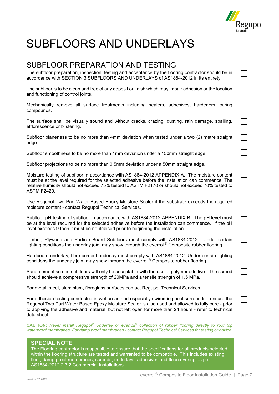

 $\vert \ \ \vert$ 

## <span id="page-6-0"></span>SUBFLOORS AND UNDERLAYS

### <span id="page-6-1"></span>SUBFLOOR PREPARATION AND TESTING

The subfloor preparation, inspection, testing and acceptance by the flooring contractor should be in accordance with SECTION 3 SUBFLOORS AND UNDERLAYS of AS1884-2012 in its entirety.

The subfloor is to be clean and free of any deposit or finish which may impair adhesion or the location and functioning of control joints.

Mechanically remove all surface treatments including sealers, adhesives, hardeners, curing compounds.

The surface shall be visually sound and without cracks, crazing, dusting, rain damage, spalling, efflorescence or blistering.

Subfloor planeness to be no more than 4mm deviation when tested under a two (2) metre straight edge.

Subfloor smoothness to be no more than 1mm deviation under a 150mm straight edge.

Subfloor projections to be no more than 0.5mm deviation under a 50mm straight edge.

Moisture testing of subfloor in accordance with AS1884-2012 APPENDIX A. The moisture content must be at the level required for the selected adhesive before the installation can commence. The relative humidity should not exceed 75% tested to ASTM F2170 or should not exceed 70% tested to ASTM F2420.

Use Regupol Two Part Water Based Epoxy Moisture Sealer if the substrate exceeds the required moisture content - contact Regupol Technical Services.

Subfloor pH testing of subfloor in accordance with AS1884-2012 APPENDIX B. The pH level must be at the level required for the selected adhesive before the installation can commence. If the pH level exceeds 9 then it must be neutralised prior to beginning the installation.

Timber, Plywood and Particle Board Subfloors must comply with AS1884-2012. Under certain lighting conditions the underlay joint may show through the everroll® Composite rubber flooring.

Hardboard underlay, fibre cement underlay must comply with AS1884-2012. Under certain lighting conditions the underlay joint may show through the everroll® Composite rubber flooring.

Sand-cement screed subfloors will only be acceptable with the use of polymer additive. The screed should achieve a compressive strength of 20MPa and a tensile strength of 1.5 MPa.

For metal, steel, aluminium, fibreglass surfaces contact Regupol Technical Services.

For adhesion testing conducted in wet areas and especially swimming pool surrounds - ensure the Regupol Two Part Water Based Epoxy Moisture Sealer is also used and allowed to fully cure - prior to applying the adhesive and material, but not left open for more than 24 hours - refer to technical data sheet.

**CAUTION:** *Never install Regupol® Underlay or everroll® collection of rubber flooring directly to roof top waterproof membranes. For damp proof membranes - contact Regupol Technical Services for testing or advice.*

#### **SPECIAL NOTE**

The Flooring contractor is responsible to ensure that the specifications for all products selected within the flooring structure are tested and warranted to be compatible. This includes existing floor, damp-proof membranes, screeds, underlays, adhesives and floorcovering as per AS1884-2012 2.3.2 Commercial Installations.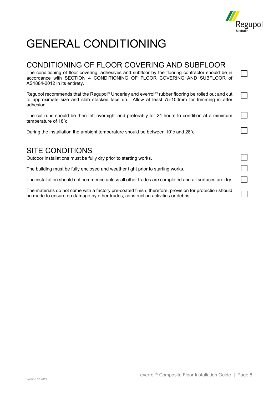

 $\mathsf{L}$ 

 $\Box$ 

 $\Box$ 

## <span id="page-7-0"></span>GENERAL CONDITIONING

### <span id="page-7-1"></span>CONDITIONING OF FLOOR COVERING AND SUBFLOOR

The conditioning of floor covering, adhesives and subfloor by the flooring contractor should be in accordance with SECTION 4 CONDITIONING OF FLOOR COVERING AND SUBFLOOR of AS1884-2012 in its entirety.

Regupol recommends that the Regupol<sup>®</sup> Underlay and everroll<sup>®</sup> rubber flooring be rolled out and cut to approximate size and slab stacked face up. Allow at least 75-100mm for trimming in after adhesion.

The cut runs should be then left overnight and preferably for 24 hours to condition at a minimum temperature of 18˚c.

During the installation the ambient temperature should be between 10˚c and 28˚c

### <span id="page-7-2"></span>SITE CONDITIONS

Outdoor installations must be fully dry prior to starting works.

The building must be fully enclosed and weather tight prior to starting works.

The installation should not commence unless all other trades are completed and all surfaces are dry.

The materials do not come with a factory pre-coated finish, therefore, provision for protection should be made to ensure no damage by other trades, construction activities or debris.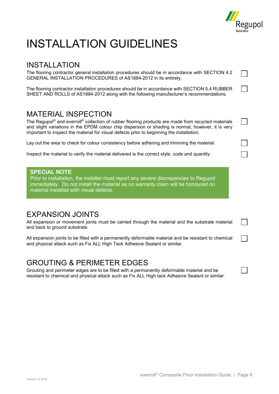

## <span id="page-8-0"></span>INSTALLATION GUIDELINES

## <span id="page-8-1"></span>INSTALLATION

The flooring contractor general installation procedures should be in accordance with SECTION 4.2 GENERAL INSTALLATION PROCEDURES of AS1884-2012 in its entirety.

The flooring contractor installation procedures should be in accordance with SECTION 5.4 RUBBER SHEET AND ROLLS of AS1884-2012 along with the following manufacturer's recommendations.

### <span id="page-8-2"></span>MATERIAL INSPECTION

The Regupol<sup>®</sup> and everroll<sup>®</sup> collection of rubber flooring products are made from recycled materials and slight variations in the EPDM colour chip dispersion or shading is normal, however, it is very important to inspect the material for visual defects prior to beginning the installation.

Lay out the area to check for colour consistency before adhering and trimming the material.

Inspect the material to verify the material delivered is the correct style, code and quantity.

#### **SPECIAL NOTE**

Prior to installation, the installer must report any severe discrepancies to Regupol immediately. Do not install the material as no warranty claim will be honoured on material installed with visual defects.

### <span id="page-8-3"></span>EXPANSION JOINTS

All expansion or movement joints must be carried through the material and the substrate material and back to ground substrate.

All expansion joints to be filled with a permanently deformable material and be resistant to chemical and physical attack such as Fix ALL High Tack Adhesive Sealant or similar.

### <span id="page-8-4"></span>GROUTING & PERIMETER EDGES

Grouting and perimeter edges are to be filled with a permanently deformable material and be resistant to chemical and physical attack such as Fix ALL High tack Adhesive Sealant or similar.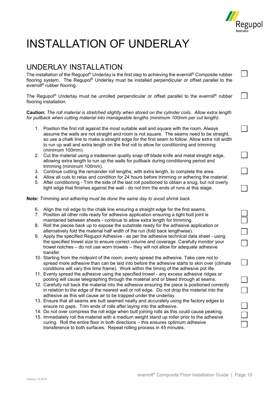

 $\vert \ \ \vert$ 

 $\blacksquare$ 

 $\Box$ 

## <span id="page-9-0"></span>INSTALLATION OF UNDERLAY

### <span id="page-9-1"></span>UNDERLAY INSTALLATION

The installation of the Regupol<sup>®</sup> Underlay is the first step to achieving the everroll<sup>®</sup> Composite rubber flooring system. The Regupol® Underlay must be installed perpendicular or offset parallel to the everroll® rubber flooring.

The Regupol<sup>®</sup> Underlay must be unrolled perpendicular or offset parallel to the everroll<sup>®</sup> rubber flooring installation.

**Caution:** *The roll material is stretched slightly when stored on the cylinder coils. Allow extra length for pullback when cutting material into manageable lengths (minimum 100mm per cut length).*

- 1. Position the first roll against the most suitable wall and square with the room. Always assume the walls are not straight and room is not square. The seams need to be straight, so use a chalk line to make a straight edge for the first seam to follow. Allow extra roll width to run up wall and extra length on the first roll to allow for conditioning and trimming (minimum 100mm).
- 2. Cut the material using a tradesman quality snap off blade knife and metal straight edge, allowing extra length to run up the walls for pullback during conditioning period and trimming (minimum 100mm).
- 3. Continue cutting the remainder roll lengths, with extra length, to complete the area.
- 4. Allow all cuts to relax and condition for 24 hours before trimming or adhering the material.
- 5. After conditioning Trim the side of the last roll positioned to obtain a snug, but not overly tight edge that finishes against the wall - do not trim the ends of runs at this stage.

**Note:** *Trimming and adhering must be done the same day to avoid shrink back.*

- 6. Align the roll edge to the chalk line ensuring a straight edge for the first seams.
- 7. Position all other rolls ready for adhesive application ensuring a tight butt joint is maintained between sheets - continue to allow extra length for trimming.
- 8. Roll the pieces back up to expose the substrate ready for the adhesive application or alternatively fold the material half width of the run (fold back lengthwise).
- 9. Apply the specified Regupol Adhesive as per the adhesive technical data sheet using the specified trowel size to ensure correct volume and coverage. Carefully monitor your trowel notches – do not use worn trowels – they will not allow for adequate adhesive transfer.
- 10. Starting from the midpoint of the room, evenly spread the adhesive. Take care not to spread more adhesive than can be laid into before the adhesive starts to skin over (climate conditions will vary this time frame). Work within the timing of the adhesive pot life.
- 11. Evenly spread the adhesive using the specified trowel any excess adhesive ridges or pooling will cause telegraphing through the material and or bleed through at seams.
- 12. Carefully roll back the material into the adhesive ensuring the piece is positioned correctly in relation to the edge of the nearest wall or roll edge. Do not drop the material into the adhesive as this will cause air to be trapped under the underlay.
- 13. Ensure that all seams are butt seamed neatly and accurately using the factory edges to ensure no gaps. Trim ends of rolls after laying into the adhesive.
- 14. Do not over compress the roll edge when butt joining rolls as this could cause peaking.
- 15. Immediately roll the material with a medium weight stand up roller prior to the adhesive curing. Roll the entire floor in both directions – this ensures optimum adhesive transference to both surfaces. Repeat rolling process in 45 minutes.

| everroll <sup>®</sup> Composite Floor Installation Guide   Page 10 |  |  |  |
|--------------------------------------------------------------------|--|--|--|
|                                                                    |  |  |  |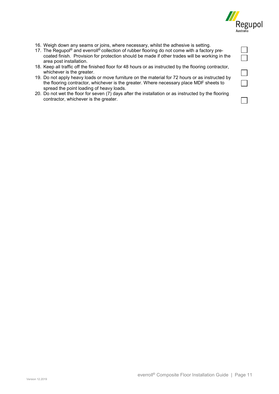

- 16. Weigh down any seams or joins, where necessary, whilst the adhesive is setting.
- 17. The Regupol<sup>®</sup> and everroll<sup>®</sup> collection of rubber flooring do not come with a factory precoated finish. Provision for protection should be made if other trades will be working in the area post installation.
- 18. Keep all traffic off the finished floor for 48 hours or as instructed by the flooring contractor, whichever is the greater.
- 19. Do not apply heavy loads or move furniture on the material for 72 hours or as instructed by the flooring contractor, whichever is the greater. Where necessary place MDF sheets to spread the point loading of heavy loads.
- 20. Do not wet the floor for seven (7) days after the installation or as instructed by the flooring contractor, whichever is the greater.

|                | h. |
|----------------|----|
| $\mathbb{R}^2$ |    |
| $\mathbf{L}$   |    |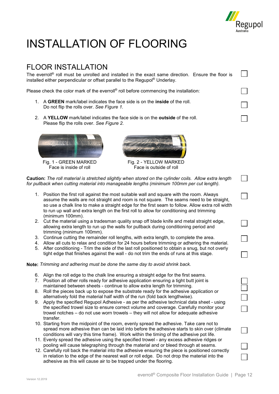

 $\mathcal{L}(\mathcal{A})$ 

 $\overline{\phantom{a}}$ 

## <span id="page-11-0"></span>INSTALLATION OF FLOORING

## <span id="page-11-1"></span>FLOOR INSTALLATION

The everroll® roll must be unrolled and installed in the exact same direction. Ensure the floor is installed either perpendicular or offset parallel to the Regupol® Underlay.

Please check the color mark of the everroll® roll before commencing the installation:

- 1. A **GREEN** mark/label indicates the face side is on the **inside** of the roll. Do not flip the rolls over. *See Figure 1.*
- 2. A **YELLOW** mark/label indicates the face side is on the **outside** of the roll. Please flip the rolls over. *See Figure 2.*



 $F$ ace is inside of roll



Fig. 1 - GREEN MARKED Fig. 2 - YELLOW MARKED<br>Face is inside of roll Face is outside of roll

| Caution: The roll material is stretched slightly when stored on the cylinder coils. Allow extra length<br>for pullback when cutting material into manageable lengths (minimum 100mm per cut length). |                                                                                                                                                                                                                                                                                                                                                                                                            |  |  |
|------------------------------------------------------------------------------------------------------------------------------------------------------------------------------------------------------|------------------------------------------------------------------------------------------------------------------------------------------------------------------------------------------------------------------------------------------------------------------------------------------------------------------------------------------------------------------------------------------------------------|--|--|
|                                                                                                                                                                                                      | 1. Position the first roll against the most suitable wall and square with the room. Always<br>assume the walls are not straight and room is not square. The seams need to be straight,<br>so use a chalk line to make a straight edge for the first seam to follow. Allow extra roll width<br>to run up wall and extra length on the first roll to allow for conditioning and trimming<br>(minimum 100mm). |  |  |
|                                                                                                                                                                                                      | 2. Cut the material using a tradesman quality snap off blade knife and metal straight edge,<br>allowing extra length to run up the walls for pullback during conditioning period and                                                                                                                                                                                                                       |  |  |

- trimming (minimum 100mm).
- 3. Continue cutting the remainder roll lengths, with extra length, to complete the area.
- 4. Allow all cuts to relax and condition for 24 hours before trimming or adhering the material.
- 5. After conditioning Trim the side of the last roll positioned to obtain a snug, but not overly tight edge that finishes against the wall - do not trim the ends of runs at this stage.

**Note:** *Trimming and adhering must be done the same day to avoid shrink back.*

- 6. Align the roll edge to the chalk line ensuring a straight edge for the first seams.
- 7. Position all other rolls ready for adhesive application ensuring a tight butt joint is maintained between sheets - continue to allow extra length for trimming.
- 8. Roll the pieces back up to expose the substrate ready for the adhesive application or alternatively fold the material half width of the run (fold back lengthwise).
- 9. Apply the specified Regupol Adhesive as per the adhesive technical data sheet using the specified trowel size to ensure correct volume and coverage. Carefully monitor your trowel notches – do not use worn trowels – they will not allow for adequate adhesive transfer.
- 10. Starting from the midpoint of the room, evenly spread the adhesive. Take care not to spread more adhesive than can be laid into before the adhesive starts to skin over (climate conditions will vary this time frame). Work within the timing of the adhesive pot life.
- 11. Evenly spread the adhesive using the specified trowel any excess adhesive ridges or pooling will cause telegraphing through the material and or bleed through at seams.
- 12. Carefully roll back the material into the adhesive ensuring the piece is positioned correctly in relation to the edge of the nearest wall or roll edge. Do not drop the material into the adhesive as this will cause air to be trapped under the flooring.